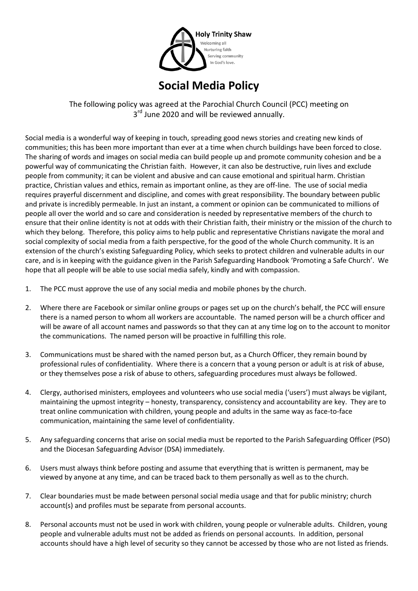

## **Social Media Policy**

The following policy was agreed at the Parochial Church Council (PCC) meeting on 3<sup>rd</sup> June 2020 and will be reviewed annually.

Social media is a wonderful way of keeping in touch, spreading good news stories and creating new kinds of communities; this has been more important than ever at a time when church buildings have been forced to close. The sharing of words and images on social media can build people up and promote community cohesion and be a powerful way of communicating the Christian faith. However, it can also be destructive, ruin lives and exclude people from community; it can be violent and abusive and can cause emotional and spiritual harm. Christian practice, Christian values and ethics, remain as important online, as they are off-line. The use of social media requires prayerful discernment and discipline, and comes with great responsibility. The boundary between public and private is incredibly permeable. In just an instant, a comment or opinion can be communicated to millions of people all over the world and so care and consideration is needed by representative members of the church to ensure that their online identity is not at odds with their Christian faith, their ministry or the mission of the church to which they belong. Therefore, this policy aims to help public and representative Christians navigate the moral and social complexity of social media from a faith perspective, for the good of the whole Church community. It is an extension of the church's existing Safeguarding Policy, which seeks to protect children and vulnerable adults in our care, and is in keeping with the guidance given in the Parish Safeguarding Handbook 'Promoting a Safe Church'. We hope that all people will be able to use social media safely, kindly and with compassion.

- 1. The PCC must approve the use of any social media and mobile phones by the church.
- 2. Where there are Facebook or similar online groups or pages set up on the church's behalf, the PCC will ensure there is a named person to whom all workers are accountable. The named person will be a church officer and will be aware of all account names and passwords so that they can at any time log on to the account to monitor the communications. The named person will be proactive in fulfilling this role.
- 3. Communications must be shared with the named person but, as a Church Officer, they remain bound by professional rules of confidentiality. Where there is a concern that a young person or adult is at risk of abuse, or they themselves pose a risk of abuse to others, safeguarding procedures must always be followed.
- 4. Clergy, authorised ministers, employees and volunteers who use social media ('users') must always be vigilant, maintaining the upmost integrity – honesty, transparency, consistency and accountability are key. They are to treat online communication with children, young people and adults in the same way as face-to-face communication, maintaining the same level of confidentiality.
- 5. Any safeguarding concerns that arise on social media must be reported to the Parish Safeguarding Officer (PSO) and the Diocesan Safeguarding Advisor (DSA) immediately.
- 6. Users must always think before posting and assume that everything that is written is permanent, may be viewed by anyone at any time, and can be traced back to them personally as well as to the church.
- 7. Clear boundaries must be made between personal social media usage and that for public ministry; church account(s) and profiles must be separate from personal accounts.
- 8. Personal accounts must not be used in work with children, young people or vulnerable adults. Children, young people and vulnerable adults must not be added as friends on personal accounts. In addition, personal accounts should have a high level of security so they cannot be accessed by those who are not listed as friends.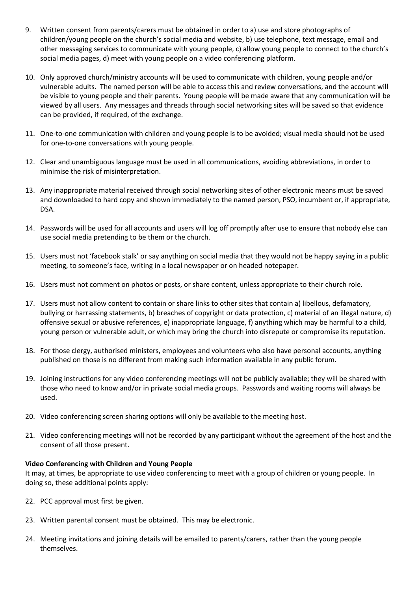- 9. Written consent from parents/carers must be obtained in order to a) use and store photographs of children/young people on the church's social media and website, b) use telephone, text message, email and other messaging services to communicate with young people, c) allow young people to connect to the church's social media pages, d) meet with young people on a video conferencing platform.
- 10. Only approved church/ministry accounts will be used to communicate with children, young people and/or vulnerable adults. The named person will be able to access this and review conversations, and the account will be visible to young people and their parents. Young people will be made aware that any communication will be viewed by all users. Any messages and threads through social networking sites will be saved so that evidence can be provided, if required, of the exchange.
- 11. One-to-one communication with children and young people is to be avoided; visual media should not be used for one-to-one conversations with young people.
- 12. Clear and unambiguous language must be used in all communications, avoiding abbreviations, in order to minimise the risk of misinterpretation.
- 13. Any inappropriate material received through social networking sites of other electronic means must be saved and downloaded to hard copy and shown immediately to the named person, PSO, incumbent or, if appropriate, DSA.
- 14. Passwords will be used for all accounts and users will log off promptly after use to ensure that nobody else can use social media pretending to be them or the church.
- 15. Users must not 'facebook stalk' or say anything on social media that they would not be happy saying in a public meeting, to someone's face, writing in a local newspaper or on headed notepaper.
- 16. Users must not comment on photos or posts, or share content, unless appropriate to their church role.
- 17. Users must not allow content to contain or share links to other sites that contain a) libellous, defamatory, bullying or harrassing statements, b) breaches of copyright or data protection, c) material of an illegal nature, d) offensive sexual or abusive references, e) inappropriate language, f) anything which may be harmful to a child, young person or vulnerable adult, or which may bring the church into disrepute or compromise its reputation.
- 18. For those clergy, authorised ministers, employees and volunteers who also have personal accounts, anything published on those is no different from making such information available in any public forum.
- 19. Joining instructions for any video conferencing meetings will not be publicly available; they will be shared with those who need to know and/or in private social media groups. Passwords and waiting rooms will always be used.
- 20. Video conferencing screen sharing options will only be available to the meeting host.
- 21. Video conferencing meetings will not be recorded by any participant without the agreement of the host and the consent of all those present.

## **Video Conferencing with Children and Young People**

It may, at times, be appropriate to use video conferencing to meet with a group of children or young people. In doing so, these additional points apply:

- 22. PCC approval must first be given.
- 23. Written parental consent must be obtained. This may be electronic.
- 24. Meeting invitations and joining details will be emailed to parents/carers, rather than the young people themselves.